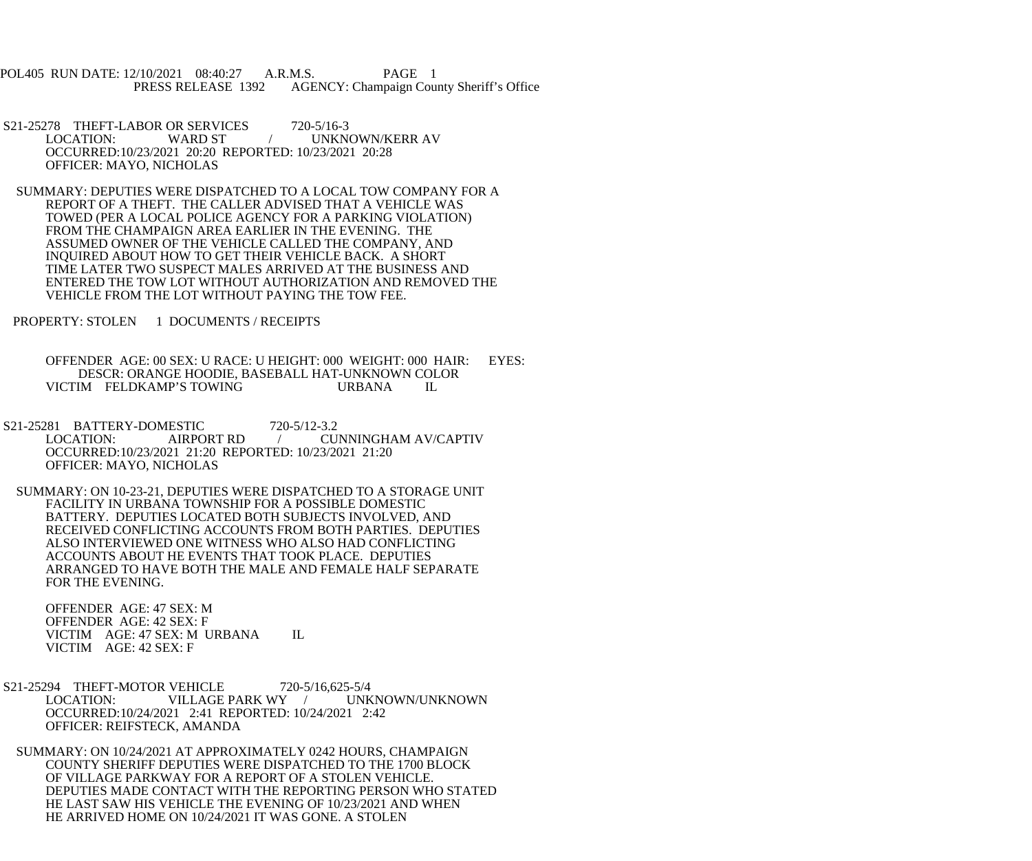POL405 RUN DATE: 12/10/2021 08:40:27 A.R.M.S. PAGE 1<br>PRESS RELEASE 1392 AGENCY: Champaign Cou AGENCY: Champaign County Sheriff's Office

S21-25278 THEFT-LABOR OR SERVICES 720-5/16-3<br>LOCATION: WARD ST / UNKN WARD ST  $/$  UNKNOWN/KERR AV OCCURRED:10/23/2021 20:20 REPORTED: 10/23/2021 20:28 OFFICER: MAYO, NICHOLAS

 SUMMARY: DEPUTIES WERE DISPATCHED TO A LOCAL TOW COMPANY FOR A REPORT OF A THEFT. THE CALLER ADVISED THAT A VEHICLE WAS TOWED (PER A LOCAL POLICE AGENCY FOR A PARKING VIOLATION) FROM THE CHAMPAIGN AREA EARLIER IN THE EVENING. THE ASSUMED OWNER OF THE VEHICLE CALLED THE COMPANY, AND INQUIRED ABOUT HOW TO GET THEIR VEHICLE BACK. A SHORT TIME LATER TWO SUSPECT MALES ARRIVED AT THE BUSINESS AND ENTERED THE TOW LOT WITHOUT AUTHORIZATION AND REMOVED THE VEHICLE FROM THE LOT WITHOUT PAYING THE TOW FEE.

PROPERTY: STOLEN 1 DOCUMENTS / RECEIPTS

 OFFENDER AGE: 00 SEX: U RACE: U HEIGHT: 000 WEIGHT: 000 HAIR: EYES: DESCR: ORANGE HOODIE, BASEBALL HAT-UNKNOWN COLOR VICTIM FELDKAMP'S TOWING URBANA IL

 S21-25281 BATTERY-DOMESTIC 720-5/12-3.2 LOCATION: AIRPORT RD / CUNNINGHAM AV/CAPTIV OCCURRED:10/23/2021 21:20 REPORTED: 10/23/2021 21:20 OFFICER: MAYO, NICHOLAS

 SUMMARY: ON 10-23-21, DEPUTIES WERE DISPATCHED TO A STORAGE UNIT FACILITY IN URBANA TOWNSHIP FOR A POSSIBLE DOMESTIC BATTERY. DEPUTIES LOCATED BOTH SUBJECTS INVOLVED, AND RECEIVED CONFLICTING ACCOUNTS FROM BOTH PARTIES. DEPUTIES ALSO INTERVIEWED ONE WITNESS WHO ALSO HAD CONFLICTING ACCOUNTS ABOUT HE EVENTS THAT TOOK PLACE. DEPUTIES ARRANGED TO HAVE BOTH THE MALE AND FEMALE HALF SEPARATE FOR THE EVENING.

 OFFENDER AGE: 47 SEX: M OFFENDER AGE: 42 SEX: F VICTIM AGE: 47 SEX: M URBANA IL VICTIM AGE: 42 SEX: F

S21-25294 THEFT-MOTOR VEHICLE 720-5/16,625-5/4<br>LOCATION: VILLAGE PARK WY / UNK VILLAGE PARK WY / UNKNOWN/UNKNOWN OCCURRED:10/24/2021 2:41 REPORTED: 10/24/2021 2:42 OFFICER: REIFSTECK, AMANDA

 SUMMARY: ON 10/24/2021 AT APPROXIMATELY 0242 HOURS, CHAMPAIGN COUNTY SHERIFF DEPUTIES WERE DISPATCHED TO THE 1700 BLOCK OF VILLAGE PARKWAY FOR A REPORT OF A STOLEN VEHICLE. DEPUTIES MADE CONTACT WITH THE REPORTING PERSON WHO STATED HE LAST SAW HIS VEHICLE THE EVENING OF 10/23/2021 AND WHEN HE ARRIVED HOME ON 10/24/2021 IT WAS GONE. A STOLEN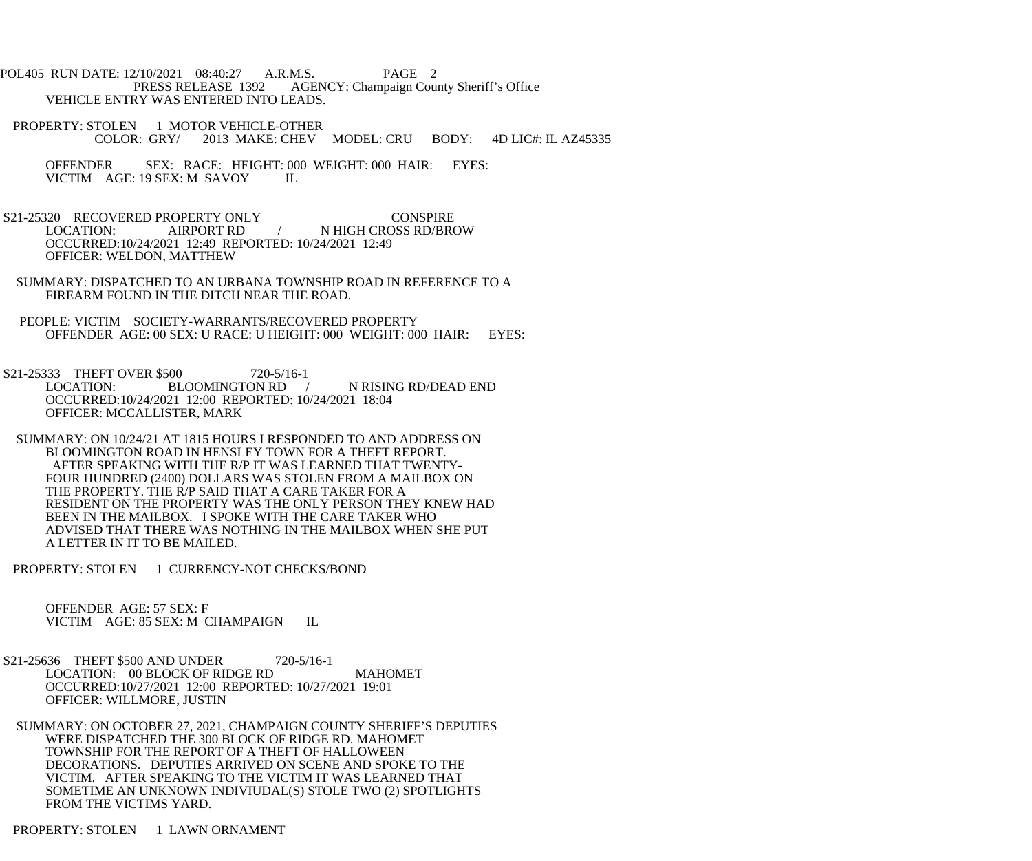POL405 RUN DATE: 12/10/2021 08:40:27 A.R.M.S. PAGE 2<br>PRESS RELEASE 1392 AGENCY: Champaign Cou AGENCY: Champaign County Sheriff's Office VEHICLE ENTRY WAS ENTERED INTO LEADS.

- PROPERTY: STOLEN 1 MOTOR VEHICLE-OTHER<br>COLOR: GRY/ 2013 MAKE: CHEV 2013 MAKE: CHEV MODEL: CRU BODY: 4D LIC#: IL AZ45335
	- OFFENDER SEX: RACE: HEIGHT: 000 WEIGHT: 000 HAIR: EYES: VICTIM AGE: 19 SEX: M SAVOY IL VICTIM AGE: 19 SEX: M SAVOY
- S21-25320 RECOVERED PROPERTY ONLY CONSPIRE LOCATION: AIRPORT RD / N HIGH CROSS RD/BROW OCCURRED:10/24/2021 12:49 REPORTED: 10/24/2021 12:49 OFFICER: WELDON, MATTHEW
- SUMMARY: DISPATCHED TO AN URBANA TOWNSHIP ROAD IN REFERENCE TO A FIREARM FOUND IN THE DITCH NEAR THE ROAD.
- PEOPLE: VICTIM SOCIETY-WARRANTS/RECOVERED PROPERTY OFFENDER AGE: 00 SEX: U RACE: U HEIGHT: 000 WEIGHT: 000 HAIR: EYES:
- S21-25333 THEFT OVER \$500 720-5/16-1 LOCATION: BLOOMINGTON RD / N RISING RD/DEAD END OCCURRED:10/24/2021 12:00 REPORTED: 10/24/2021 18:04 OFFICER: MCCALLISTER, MARK
- SUMMARY: ON 10/24/21 AT 1815 HOURS I RESPONDED TO AND ADDRESS ON BLOOMINGTON ROAD IN HENSLEY TOWN FOR A THEFT REPORT. AFTER SPEAKING WITH THE R/P IT WAS LEARNED THAT TWENTY- FOUR HUNDRED (2400) DOLLARS WAS STOLEN FROM A MAILBOX ON THE PROPERTY. THE R/P SAID THAT A CARE TAKER FOR A RESIDENT ON THE PROPERTY WAS THE ONLY PERSON THEY KNEW HAD BEEN IN THE MAILBOX. I SPOKE WITH THE CARE TAKER WHO ADVISED THAT THERE WAS NOTHING IN THE MAILBOX WHEN SHE PUT A LETTER IN IT TO BE MAILED.
- PROPERTY: STOLEN 1 CURRENCY-NOT CHECKS/BOND

 OFFENDER AGE: 57 SEX: F VICTIM AGE: 85 SEX: M CHAMPAIGN IL

- S21-25636 THEFT \$500 AND UNDER 720-5/16-1 LOCATION: 00 BLOCK OF RIDGE RD MAHOMET OCCURRED:10/27/2021 12:00 REPORTED: 10/27/2021 19:01 OFFICER: WILLMORE, JUSTIN
- SUMMARY: ON OCTOBER 27, 2021, CHAMPAIGN COUNTY SHERIFF'S DEPUTIES WERE DISPATCHED THE 300 BLOCK OF RIDGE RD. MAHOMET TOWNSHIP FOR THE REPORT OF A THEFT OF HALLOWEEN DECORATIONS. DEPUTIES ARRIVED ON SCENE AND SPOKE TO THE VICTIM. AFTER SPEAKING TO THE VICTIM IT WAS LEARNED THAT SOMETIME AN UNKNOWN INDIVIUDAL(S) STOLE TWO (2) SPOTLIGHTS FROM THE VICTIMS YARD.
- PROPERTY: STOLEN 1 LAWN ORNAMENT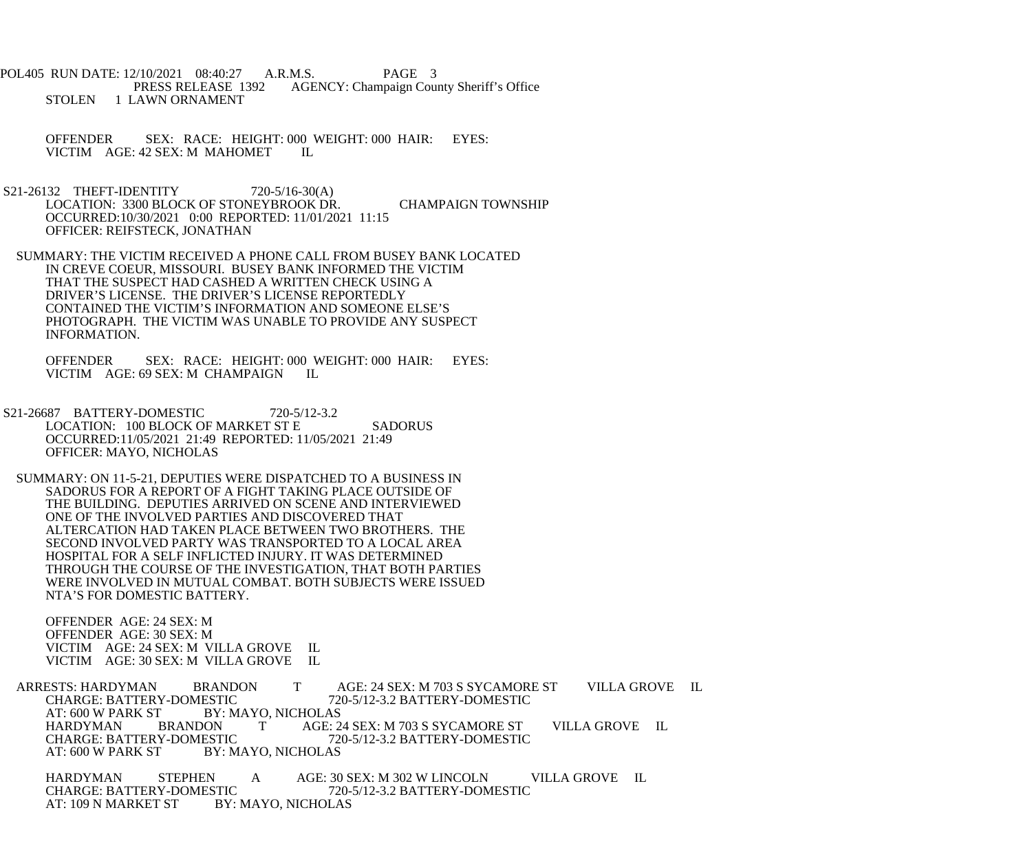POL405 RUN DATE: 12/10/2021 08:40:27 A.R.M.S. PAGE 3<br>PRESS RELEASE 1392 AGENCY: Champaign Cou AGENCY: Champaign County Sheriff's Office STOLEN 1 LAWN ORNAMENT

 OFFENDER SEX: RACE: HEIGHT: 000 WEIGHT: 000 HAIR: EYES: VICTIM AGE: 42 SEX: M MAHOMET IL

- S21-26132 THEFT-IDENTITY 720-5/16-30(A) LOCATION: 3300 BLOCK OF STONEYBROOK DR. CHAMPAIGN TOWNSHIP OCCURRED:10/30/2021 0:00 REPORTED: 11/01/2021 11:15 OFFICER: REIFSTECK, JONATHAN
- SUMMARY: THE VICTIM RECEIVED A PHONE CALL FROM BUSEY BANK LOCATED IN CREVE COEUR, MISSOURI. BUSEY BANK INFORMED THE VICTIM THAT THE SUSPECT HAD CASHED A WRITTEN CHECK USING A DRIVER'S LICENSE. THE DRIVER'S LICENSE REPORTEDLY CONTAINED THE VICTIM'S INFORMATION AND SOMEONE ELSE'S PHOTOGRAPH. THE VICTIM WAS UNABLE TO PROVIDE ANY SUSPECT INFORMATION.

 OFFENDER SEX: RACE: HEIGHT: 000 WEIGHT: 000 HAIR: EYES: VICTIM AGE: 69 SEX: M CHAMPAIGN IL

- S21-26687 BATTERY-DOMESTIC 720-5/12-3.2 LOCATION: 100 BLOCK OF MARKET ST E SADORUS OCCURRED:11/05/2021 21:49 REPORTED: 11/05/2021 21:49 OFFICER: MAYO, NICHOLAS
- SUMMARY: ON 11-5-21, DEPUTIES WERE DISPATCHED TO A BUSINESS IN SADORUS FOR A REPORT OF A FIGHT TAKING PLACE OUTSIDE OF THE BUILDING. DEPUTIES ARRIVED ON SCENE AND INTERVIEWED ONE OF THE INVOLVED PARTIES AND DISCOVERED THAT ALTERCATION HAD TAKEN PLACE BETWEEN TWO BROTHERS. THE SECOND INVOLVED PARTY WAS TRANSPORTED TO A LOCAL AREA HOSPITAL FOR A SELF INFLICTED INJURY. IT WAS DETERMINED THROUGH THE COURSE OF THE INVESTIGATION, THAT BOTH PARTIES WERE INVOLVED IN MUTUAL COMBAT. BOTH SUBJECTS WERE ISSUED NTA'S FOR DOMESTIC BATTERY.

 OFFENDER AGE: 24 SEX: M OFFENDER AGE: 30 SEX: M VICTIM AGE: 24 SEX: M VILLA GROVE IL VICTIM AGE: 30 SEX: M VILLA GROVE IL

ARRESTS: HARDYMAN BRANDON T AGE: 24 SEX: M 703 S SYCAMORE ST VILLA GROVE IL<br>CHARGE: BATTERY-DOMESTIC 720-5/12-3.2 BATTERY-DOMESTIC CHARGE: BATTERY-DOMESTIC 720-5/12-3.2 BATTERY-DOMESTIC<br>AT: 600 W PARK ST BY: MAYO. NICHOLAS BY: MAYO, NICHOLAS HARDYMAN BRANDON T AGE: 24 SEX: M 703 S SYCAMORE ST VILLA GROVE IL CHARGE: BATTERY-DOMESTIC 720-5/12-3.2 BATTERY-DOMESTIC CHARGE: BATTERY-DOMESTIC 720-5/12-3.2 BATTERY-DOMESTIC<br>AT: 600 W PARK ST BY: MAYO. NICHOLAS BY: MAYO, NICHOLAS

HARDYMAN STEPHEN A AGE: 30 SEX: M 302 W LINCOLN VILLA GROVE IL<br>CHARGE: BATTERY-DOMESTIC 720-5/12-3.2 BATTERY-DOMESTIC CHARGE: BATTERY-DOMESTIC 720-5/12-3.2 BATTERY-DOMESTIC AT: 109 N MARKET ST BY: MAYO, NICHOLAS